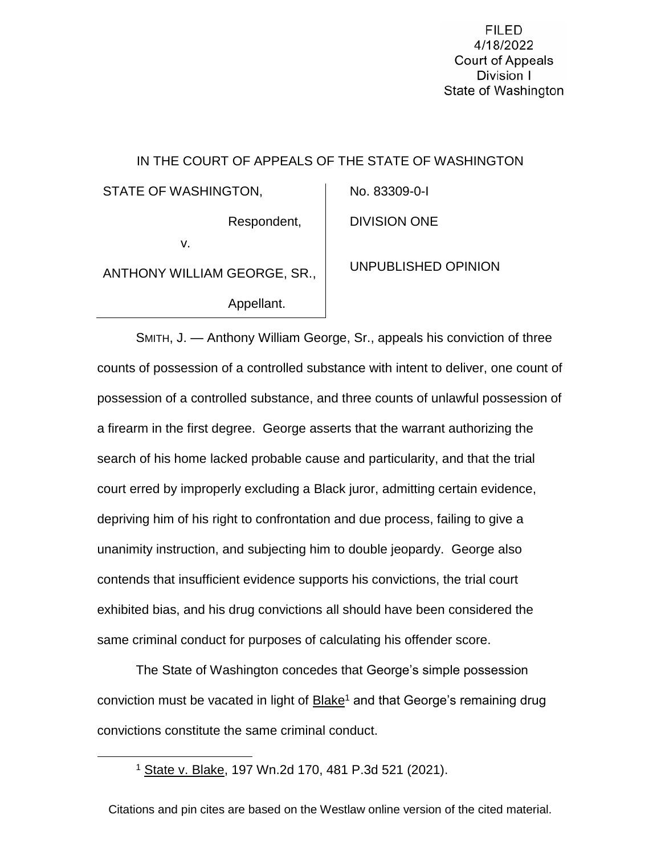**FILED** 4/18/2022 **Court of Appeals** Division I State of Washington

# IN THE COURT OF APPEALS OF THE STATE OF WASHINGTON STATE OF WASHINGTON, Respondent, v. ANTHONY WILLIAM GEORGE, SR., Appellant. No. 83309-0-I DIVISION ONE UNPUBLISHED OPINION

SMITH, J. — Anthony William George, Sr., appeals his conviction of three counts of possession of a controlled substance with intent to deliver, one count of possession of a controlled substance, and three counts of unlawful possession of a firearm in the first degree. George asserts that the warrant authorizing the search of his home lacked probable cause and particularity, and that the trial court erred by improperly excluding a Black juror, admitting certain evidence, depriving him of his right to confrontation and due process, failing to give a unanimity instruction, and subjecting him to double jeopardy. George also contends that insufficient evidence supports his convictions, the trial court exhibited bias, and his drug convictions all should have been considered the same criminal conduct for purposes of calculating his offender score.

The State of Washington concedes that George's simple possession conviction must be vacated in light of Blake<sup>1</sup> and that George's remaining drug convictions constitute the same criminal conduct.

 $\overline{\phantom{a}}$ 

<sup>1</sup> State v. Blake, 197 Wn.2d 170, 481 P.3d 521 (2021).

Citations and pin cites are based on the Westlaw online version of the cited material.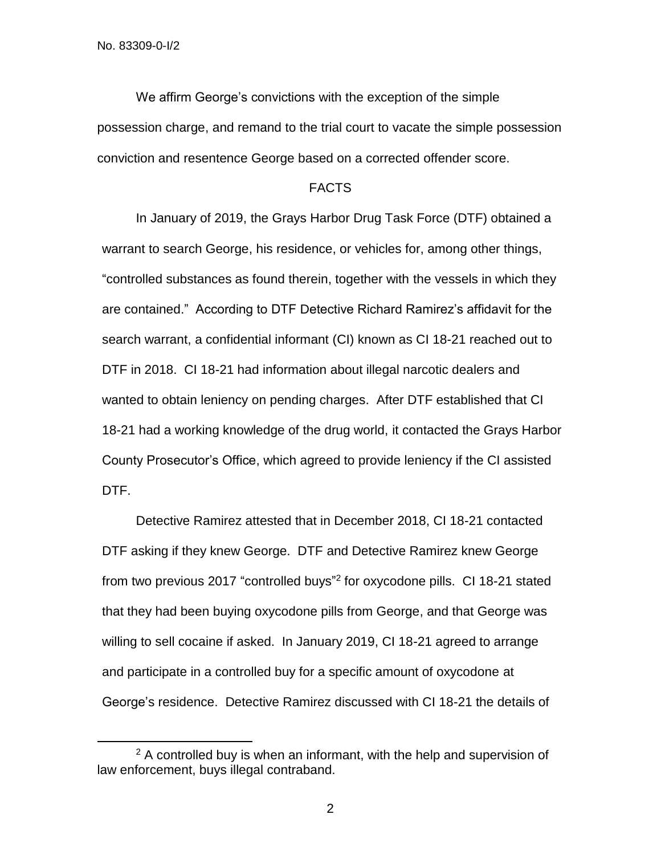$\overline{\phantom{a}}$ 

We affirm George's convictions with the exception of the simple possession charge, and remand to the trial court to vacate the simple possession conviction and resentence George based on a corrected offender score.

#### FACTS

In January of 2019, the Grays Harbor Drug Task Force (DTF) obtained a warrant to search George, his residence, or vehicles for, among other things, "controlled substances as found therein, together with the vessels in which they are contained." According to DTF Detective Richard Ramirez's affidavit for the search warrant, a confidential informant (CI) known as CI 18-21 reached out to DTF in 2018. CI 18-21 had information about illegal narcotic dealers and wanted to obtain leniency on pending charges. After DTF established that CI 18-21 had a working knowledge of the drug world, it contacted the Grays Harbor County Prosecutor's Office, which agreed to provide leniency if the CI assisted DTF.

Detective Ramirez attested that in December 2018, CI 18-21 contacted DTF asking if they knew George. DTF and Detective Ramirez knew George from two previous 2017 "controlled buys"<sup>2</sup> for oxycodone pills. CI 18-21 stated that they had been buying oxycodone pills from George, and that George was willing to sell cocaine if asked. In January 2019, CI 18-21 agreed to arrange and participate in a controlled buy for a specific amount of oxycodone at George's residence. Detective Ramirez discussed with CI 18-21 the details of

<sup>&</sup>lt;sup>2</sup> A controlled buy is when an informant, with the help and supervision of law enforcement, buys illegal contraband.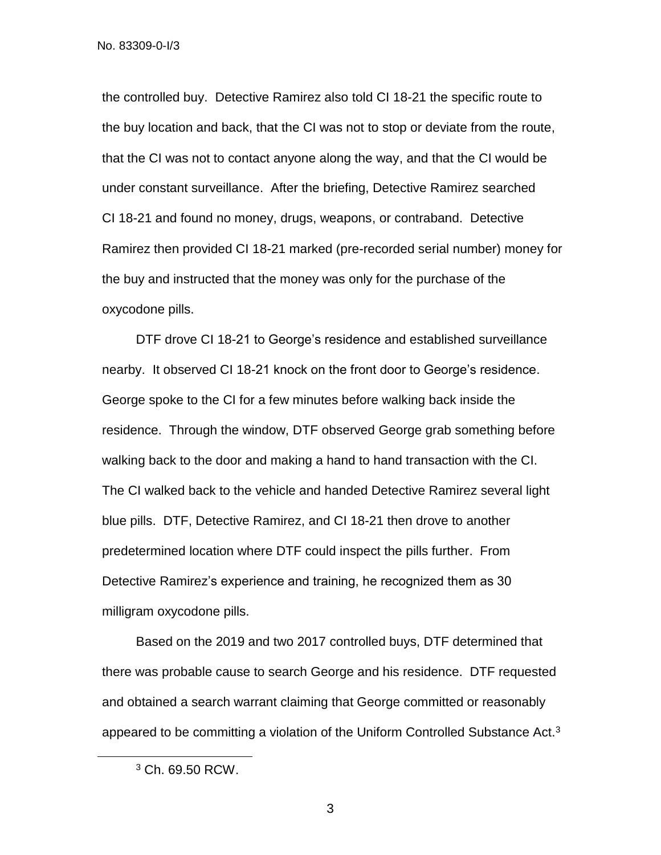the controlled buy. Detective Ramirez also told CI 18-21 the specific route to the buy location and back, that the CI was not to stop or deviate from the route, that the CI was not to contact anyone along the way, and that the CI would be under constant surveillance. After the briefing, Detective Ramirez searched CI 18-21 and found no money, drugs, weapons, or contraband. Detective Ramirez then provided CI 18-21 marked (pre-recorded serial number) money for the buy and instructed that the money was only for the purchase of the oxycodone pills.

DTF drove CI 18-21 to George's residence and established surveillance nearby. It observed CI 18-21 knock on the front door to George's residence. George spoke to the CI for a few minutes before walking back inside the residence. Through the window, DTF observed George grab something before walking back to the door and making a hand to hand transaction with the CI. The CI walked back to the vehicle and handed Detective Ramirez several light blue pills. DTF, Detective Ramirez, and CI 18-21 then drove to another predetermined location where DTF could inspect the pills further. From Detective Ramirez's experience and training, he recognized them as 30 milligram oxycodone pills.

Based on the 2019 and two 2017 controlled buys, DTF determined that there was probable cause to search George and his residence. DTF requested and obtained a search warrant claiming that George committed or reasonably appeared to be committing a violation of the Uniform Controlled Substance Act.<sup>3</sup>

 $\overline{\phantom{a}}$ 

<sup>3</sup> Ch. 69.50 RCW.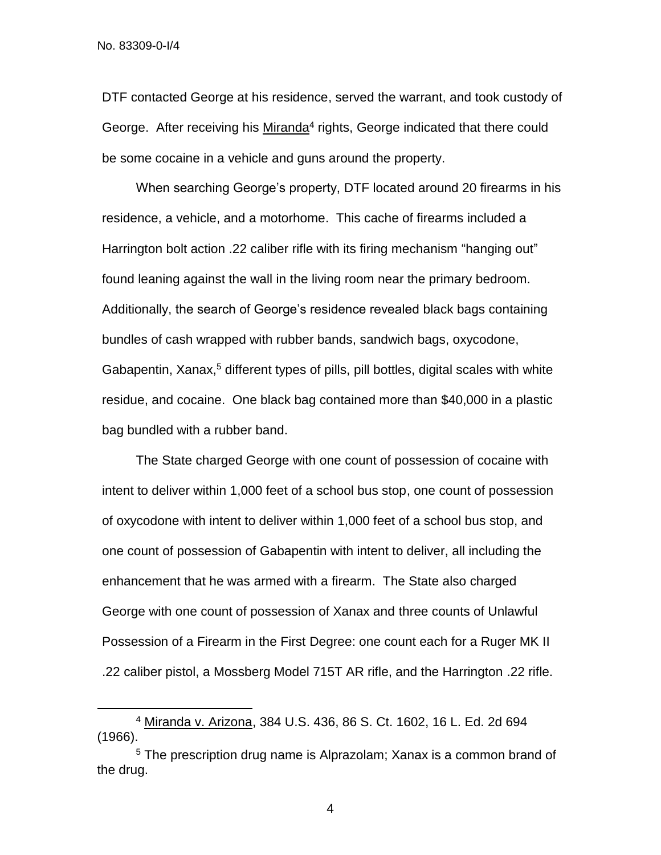$\overline{a}$ 

DTF contacted George at his residence, served the warrant, and took custody of George. After receiving his Miranda<sup>4</sup> rights, George indicated that there could be some cocaine in a vehicle and guns around the property.

When searching George's property, DTF located around 20 firearms in his residence, a vehicle, and a motorhome. This cache of firearms included a Harrington bolt action .22 caliber rifle with its firing mechanism "hanging out" found leaning against the wall in the living room near the primary bedroom. Additionally, the search of George's residence revealed black bags containing bundles of cash wrapped with rubber bands, sandwich bags, oxycodone, Gabapentin, Xanax,<sup>5</sup> different types of pills, pill bottles, digital scales with white residue, and cocaine. One black bag contained more than \$40,000 in a plastic bag bundled with a rubber band.

The State charged George with one count of possession of cocaine with intent to deliver within 1,000 feet of a school bus stop, one count of possession of oxycodone with intent to deliver within 1,000 feet of a school bus stop, and one count of possession of Gabapentin with intent to deliver, all including the enhancement that he was armed with a firearm. The State also charged George with one count of possession of Xanax and three counts of Unlawful Possession of a Firearm in the First Degree: one count each for a Ruger MK II .22 caliber pistol, a Mossberg Model 715T AR rifle, and the Harrington .22 rifle.

<sup>4</sup> Miranda v. Arizona, 384 U.S. 436, 86 S. Ct. 1602, 16 L. Ed. 2d 694 (1966).

<sup>5</sup> The prescription drug name is Alprazolam; Xanax is a common brand of the drug.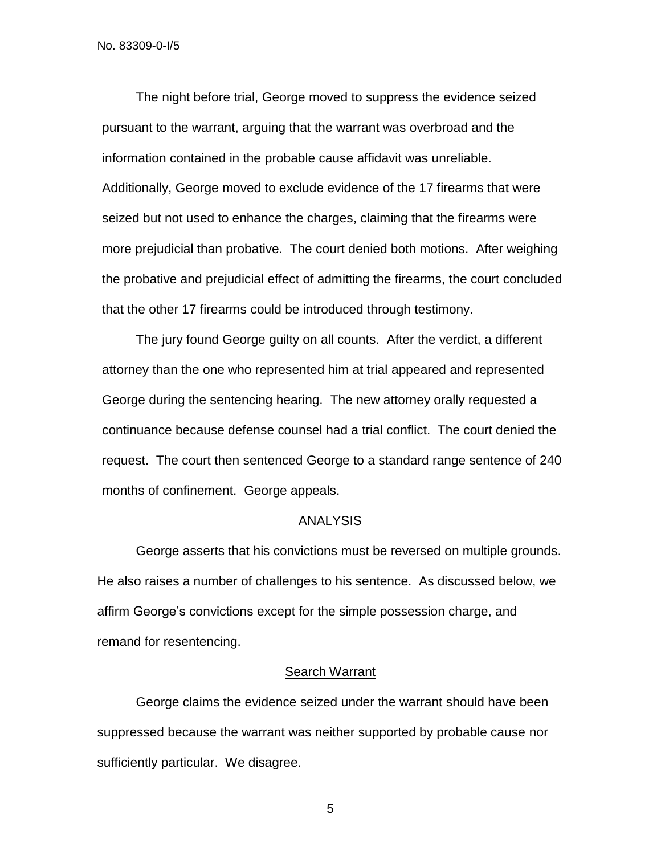The night before trial, George moved to suppress the evidence seized pursuant to the warrant, arguing that the warrant was overbroad and the information contained in the probable cause affidavit was unreliable. Additionally, George moved to exclude evidence of the 17 firearms that were seized but not used to enhance the charges, claiming that the firearms were more prejudicial than probative. The court denied both motions. After weighing the probative and prejudicial effect of admitting the firearms, the court concluded that the other 17 firearms could be introduced through testimony.

The jury found George guilty on all counts. After the verdict, a different attorney than the one who represented him at trial appeared and represented George during the sentencing hearing. The new attorney orally requested a continuance because defense counsel had a trial conflict. The court denied the request. The court then sentenced George to a standard range sentence of 240 months of confinement. George appeals.

#### ANALYSIS

George asserts that his convictions must be reversed on multiple grounds. He also raises a number of challenges to his sentence. As discussed below, we affirm George's convictions except for the simple possession charge, and remand for resentencing.

# Search Warrant

George claims the evidence seized under the warrant should have been suppressed because the warrant was neither supported by probable cause nor sufficiently particular. We disagree.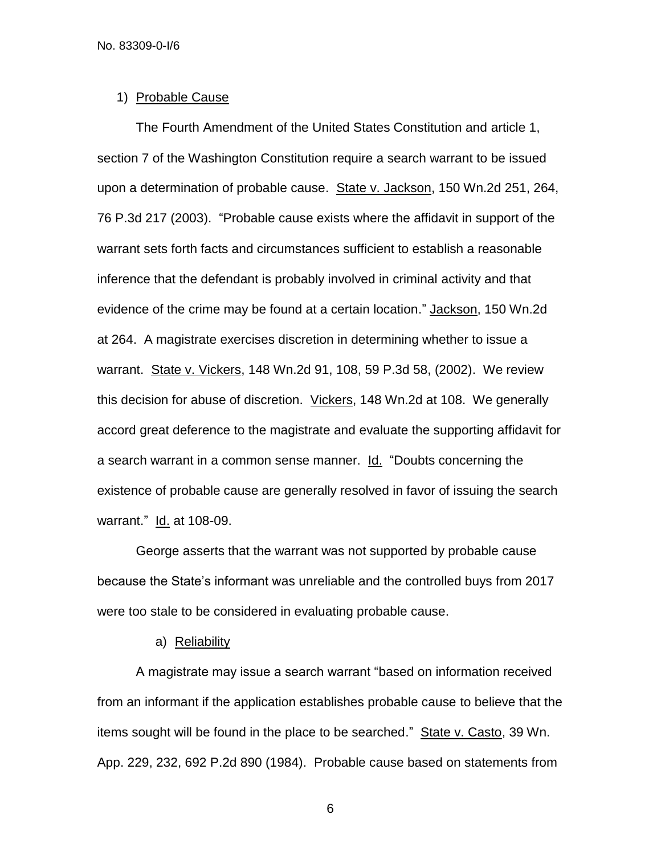#### 1) Probable Cause

The Fourth Amendment of the United States Constitution and article 1, section 7 of the Washington Constitution require a search warrant to be issued upon a determination of probable cause. State v. Jackson, 150 Wn.2d 251, 264, 76 P.3d 217 (2003). "Probable cause exists where the affidavit in support of the warrant sets forth facts and circumstances sufficient to establish a reasonable inference that the defendant is probably involved in criminal activity and that evidence of the crime may be found at a certain location." Jackson, 150 Wn.2d at 264. A magistrate exercises discretion in determining whether to issue a warrant. State v. Vickers, 148 Wn.2d 91, 108, 59 P.3d 58, (2002). We review this decision for abuse of discretion. Vickers, 148 Wn.2d at 108. We generally accord great deference to the magistrate and evaluate the supporting affidavit for a search warrant in a common sense manner. Id. "Doubts concerning the existence of probable cause are generally resolved in favor of issuing the search warrant." Id. at 108-09.

George asserts that the warrant was not supported by probable cause because the State's informant was unreliable and the controlled buys from 2017 were too stale to be considered in evaluating probable cause.

#### a) Reliability

A magistrate may issue a search warrant "based on information received from an informant if the application establishes probable cause to believe that the items sought will be found in the place to be searched." State v. Casto, 39 Wn. App. 229, 232, 692 P.2d 890 (1984). Probable cause based on statements from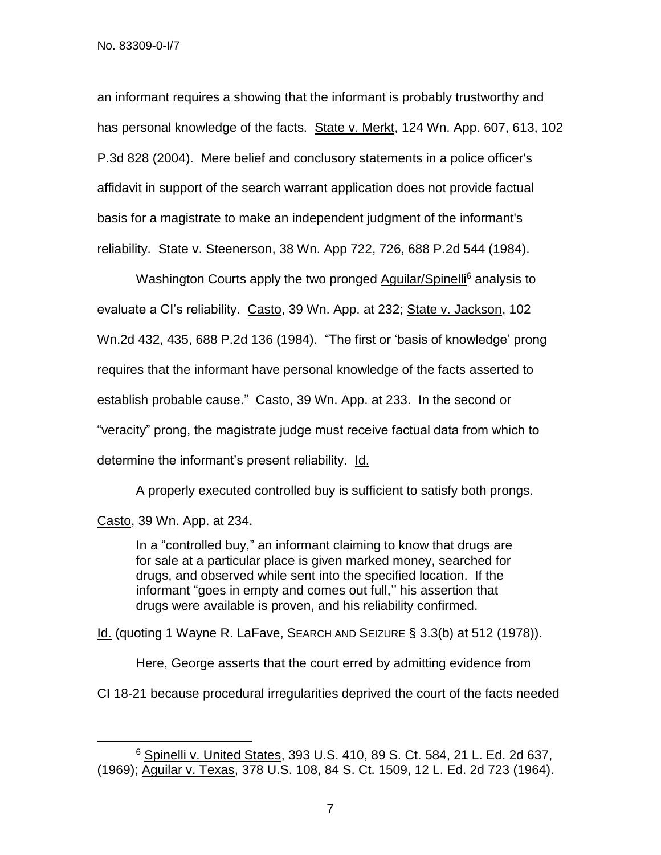an informant requires a showing that the informant is probably trustworthy and has personal knowledge of the facts. State v. Merkt, 124 Wn. App. 607, 613, 102 P.3d 828 (2004). Mere belief and conclusory statements in a police officer's affidavit in support of the search warrant application does not provide factual basis for a magistrate to make an independent judgment of the informant's reliability. State v. Steenerson, 38 Wn. App 722, 726, 688 P.2d 544 (1984).

Washington Courts apply the two pronged Aguilar/Spinelli<sup>6</sup> analysis to evaluate a Cl's reliability. Casto, 39 Wn. App. at 232; State v. Jackson, 102 Wn.2d 432, 435, 688 P.2d 136 (1984). "The first or 'basis of knowledge' prong requires that the informant have personal knowledge of the facts asserted to establish probable cause." Casto, 39 Wn. App. at 233. In the second or "veracity" prong, the magistrate judge must receive factual data from which to determine the informant's present reliability. Id.

A properly executed controlled buy is sufficient to satisfy both prongs.

Casto, 39 Wn. App. at 234.

 $\overline{\phantom{a}}$ 

In a "controlled buy," an informant claiming to know that drugs are for sale at a particular place is given marked money, searched for drugs, and observed while sent into the specified location. If the informant "goes in empty and comes out full,'' his assertion that drugs were available is proven, and his reliability confirmed.

Id. (quoting 1 Wayne R. LaFave, SEARCH AND SEIZURE § 3.3(b) at 512 (1978)).

Here, George asserts that the court erred by admitting evidence from

CI 18-21 because procedural irregularities deprived the court of the facts needed

 $6$  Spinelli v. United States, 393 U.S. 410, 89 S. Ct. 584, 21 L. Ed. 2d 637, (1969); Aguilar v. Texas, 378 U.S. 108, 84 S. Ct. 1509, 12 L. Ed. 2d 723 (1964).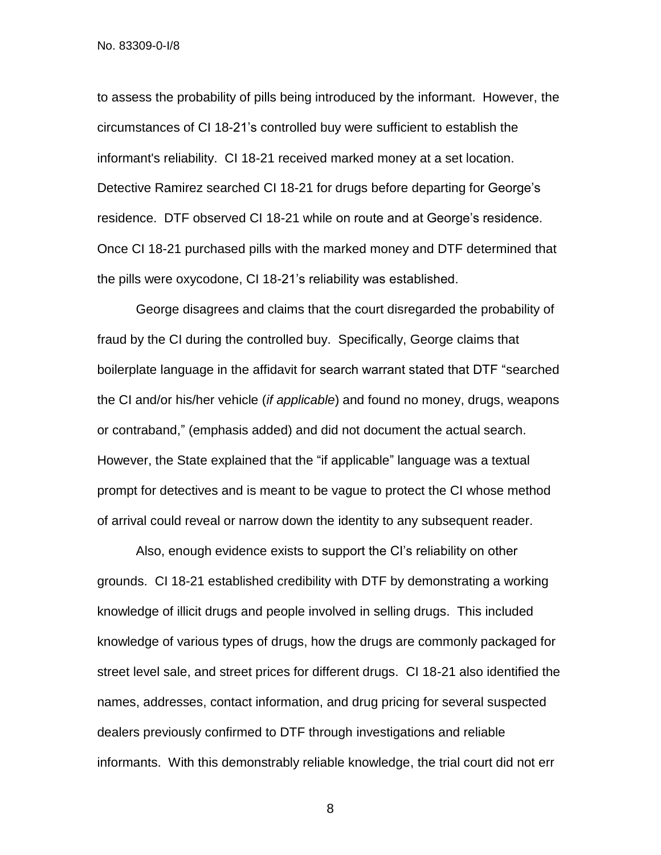to assess the probability of pills being introduced by the informant. However, the circumstances of CI 18-21's controlled buy were sufficient to establish the informant's reliability. CI 18-21 received marked money at a set location. Detective Ramirez searched CI 18-21 for drugs before departing for George's residence. DTF observed CI 18-21 while on route and at George's residence. Once CI 18-21 purchased pills with the marked money and DTF determined that the pills were oxycodone, CI 18-21's reliability was established.

George disagrees and claims that the court disregarded the probability of fraud by the CI during the controlled buy. Specifically, George claims that boilerplate language in the affidavit for search warrant stated that DTF "searched the CI and/or his/her vehicle (*if applicable*) and found no money, drugs, weapons or contraband," (emphasis added) and did not document the actual search. However, the State explained that the "if applicable" language was a textual prompt for detectives and is meant to be vague to protect the CI whose method of arrival could reveal or narrow down the identity to any subsequent reader.

Also, enough evidence exists to support the CI's reliability on other grounds. CI 18-21 established credibility with DTF by demonstrating a working knowledge of illicit drugs and people involved in selling drugs. This included knowledge of various types of drugs, how the drugs are commonly packaged for street level sale, and street prices for different drugs. CI 18-21 also identified the names, addresses, contact information, and drug pricing for several suspected dealers previously confirmed to DTF through investigations and reliable informants. With this demonstrably reliable knowledge, the trial court did not err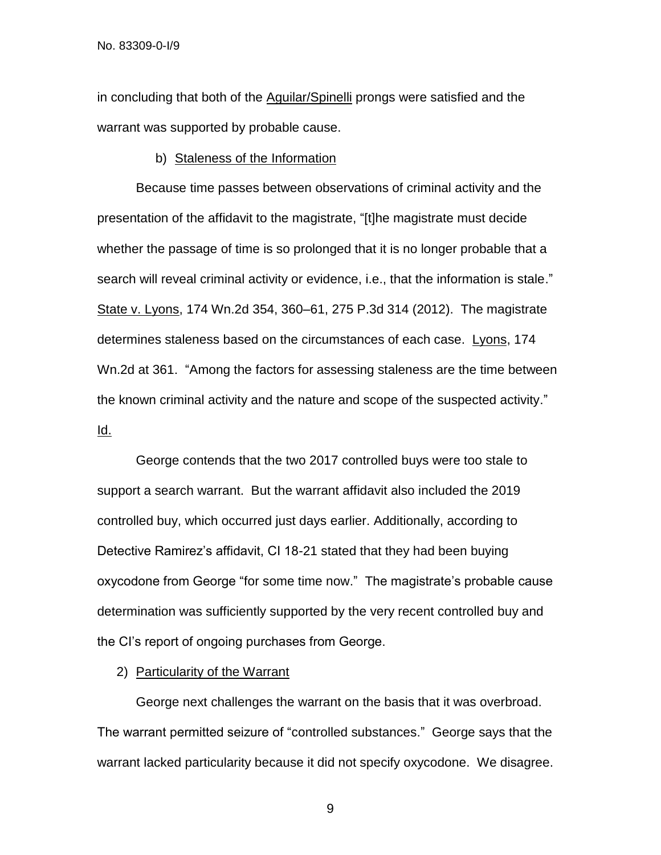in concluding that both of the Aguilar/Spinelli prongs were satisfied and the warrant was supported by probable cause.

#### b) Staleness of the Information

Because time passes between observations of criminal activity and the presentation of the affidavit to the magistrate, "[t]he magistrate must decide whether the passage of time is so prolonged that it is no longer probable that a search will reveal criminal activity or evidence, i.e., that the information is stale." State v. Lyons, 174 Wn.2d 354, 360–61, 275 P.3d 314 (2012). The magistrate determines staleness based on the circumstances of each case. Lyons, 174 Wn.2d at 361. "Among the factors for assessing staleness are the time between the known criminal activity and the nature and scope of the suspected activity." Id.

George contends that the two 2017 controlled buys were too stale to support a search warrant. But the warrant affidavit also included the 2019 controlled buy, which occurred just days earlier. Additionally, according to Detective Ramirez's affidavit, CI 18-21 stated that they had been buying oxycodone from George "for some time now." The magistrate's probable cause determination was sufficiently supported by the very recent controlled buy and the CI's report of ongoing purchases from George.

## 2) Particularity of the Warrant

George next challenges the warrant on the basis that it was overbroad. The warrant permitted seizure of "controlled substances." George says that the warrant lacked particularity because it did not specify oxycodone. We disagree.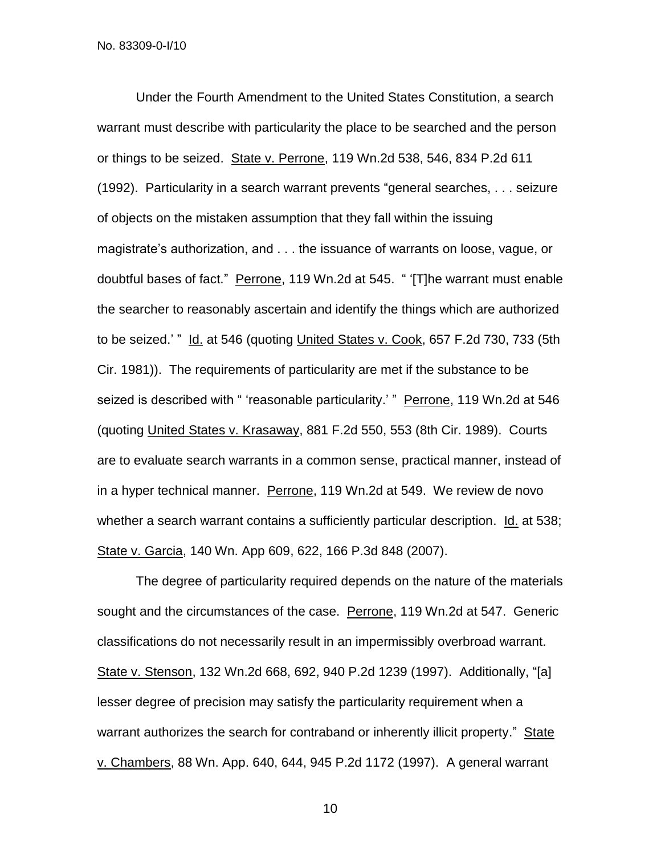Under the Fourth Amendment to the United States Constitution, a search warrant must describe with particularity the place to be searched and the person or things to be seized. State v. Perrone, 119 Wn.2d 538, 546, 834 P.2d 611 (1992). Particularity in a search warrant prevents "general searches, . . . seizure of objects on the mistaken assumption that they fall within the issuing magistrate's authorization, and . . . the issuance of warrants on loose, vague, or doubtful bases of fact." Perrone, 119 Wn.2d at 545. " '[T]he warrant must enable the searcher to reasonably ascertain and identify the things which are authorized to be seized.' " Id. at 546 (quoting United States v. Cook, 657 F.2d 730, 733 (5th Cir. 1981)). The requirements of particularity are met if the substance to be seized is described with " 'reasonable particularity.' " Perrone, 119 Wn.2d at 546 (quoting United States v. Krasaway, 881 F.2d 550, 553 (8th Cir. 1989). Courts are to evaluate search warrants in a common sense, practical manner, instead of in a hyper technical manner. Perrone, 119 Wn.2d at 549. We review de novo whether a search warrant contains a sufficiently particular description. Id. at 538; State v. Garcia, 140 Wn. App 609, 622, 166 P.3d 848 (2007).

The degree of particularity required depends on the nature of the materials sought and the circumstances of the case. Perrone, 119 Wn.2d at 547. Generic classifications do not necessarily result in an impermissibly overbroad warrant. State v. Stenson, 132 Wn.2d 668, 692, 940 P.2d 1239 (1997). Additionally, "[a] lesser degree of precision may satisfy the particularity requirement when a warrant authorizes the search for contraband or inherently illicit property." State v. Chambers, 88 Wn. App. 640, 644, 945 P.2d 1172 (1997). A general warrant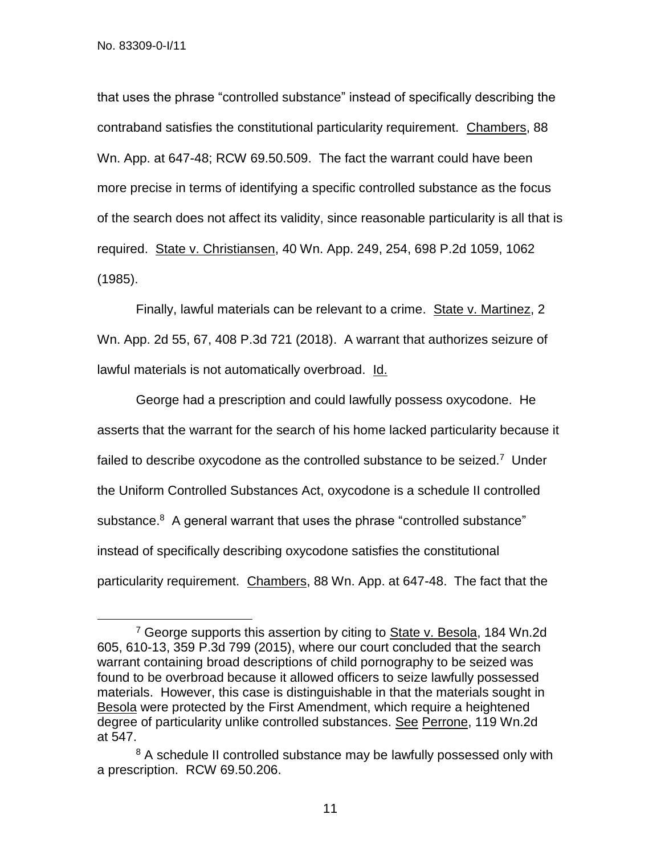$\overline{a}$ 

that uses the phrase "controlled substance" instead of specifically describing the contraband satisfies the constitutional particularity requirement. Chambers, 88 Wn. App. at 647-48; RCW 69.50.509. The fact the warrant could have been more precise in terms of identifying a specific controlled substance as the focus of the search does not affect its validity, since reasonable particularity is all that is required. State v. Christiansen, 40 Wn. App. 249, 254, 698 P.2d 1059, 1062 (1985).

Finally, lawful materials can be relevant to a crime. State v. Martinez, 2 Wn. App. 2d 55, 67, 408 P.3d 721 (2018). A warrant that authorizes seizure of lawful materials is not automatically overbroad. Id.

George had a prescription and could lawfully possess oxycodone. He asserts that the warrant for the search of his home lacked particularity because it failed to describe oxycodone as the controlled substance to be seized.<sup>7</sup> Under the Uniform Controlled Substances Act, oxycodone is a schedule II controlled substance.<sup>8</sup> A general warrant that uses the phrase "controlled substance" instead of specifically describing oxycodone satisfies the constitutional particularity requirement. Chambers, 88 Wn. App. at 647-48. The fact that the

<sup>&</sup>lt;sup>7</sup> George supports this assertion by citing to State v. Besola, 184 Wn.2d 605, 610-13, 359 P.3d 799 (2015), where our court concluded that the search warrant containing broad descriptions of child pornography to be seized was found to be overbroad because it allowed officers to seize lawfully possessed materials. However, this case is distinguishable in that the materials sought in Besola were protected by the First Amendment, which require a heightened degree of particularity unlike controlled substances. See Perrone, 119 Wn.2d at 547.

<sup>&</sup>lt;sup>8</sup> A schedule II controlled substance may be lawfully possessed only with a prescription. RCW 69.50.206.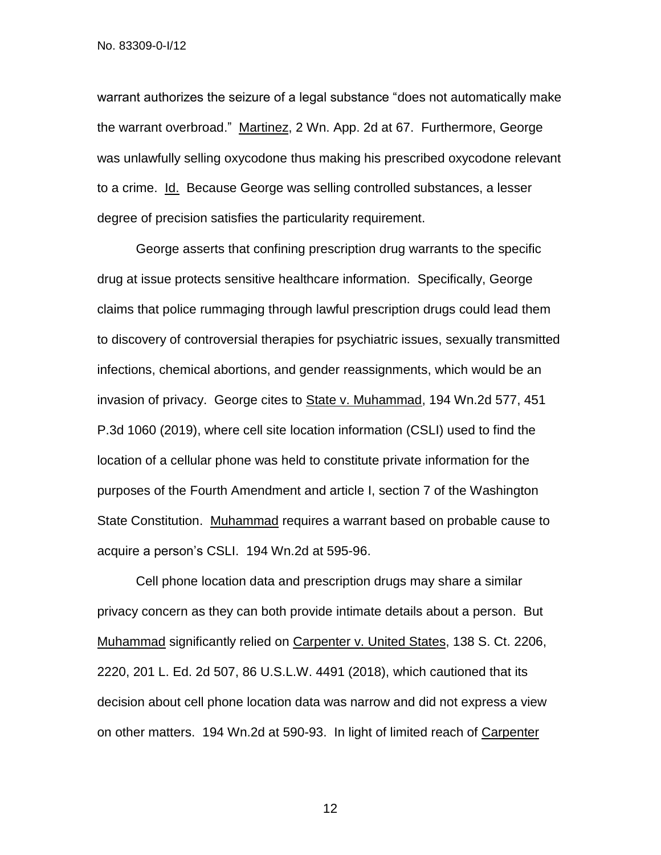warrant authorizes the seizure of a legal substance "does not automatically make the warrant overbroad." Martinez, 2 Wn. App. 2d at 67. Furthermore, George was unlawfully selling oxycodone thus making his prescribed oxycodone relevant to a crime. Id. Because George was selling controlled substances, a lesser degree of precision satisfies the particularity requirement.

George asserts that confining prescription drug warrants to the specific drug at issue protects sensitive healthcare information. Specifically, George claims that police rummaging through lawful prescription drugs could lead them to discovery of controversial therapies for psychiatric issues, sexually transmitted infections, chemical abortions, and gender reassignments, which would be an invasion of privacy. George cites to State v. Muhammad, 194 Wn.2d 577, 451 P.3d 1060 (2019), where cell site location information (CSLI) used to find the location of a cellular phone was held to constitute private information for the purposes of the Fourth Amendment and article I, section 7 of the Washington State Constitution. Muhammad requires a warrant based on probable cause to acquire a person's CSLI. 194 Wn.2d at 595-96.

Cell phone location data and prescription drugs may share a similar privacy concern as they can both provide intimate details about a person. But Muhammad significantly relied on Carpenter v. United States, 138 S. Ct. 2206, 2220, 201 L. Ed. 2d 507, 86 U.S.L.W. 4491 (2018), which cautioned that its decision about cell phone location data was narrow and did not express a view on other matters. 194 Wn.2d at 590-93. In light of limited reach of Carpenter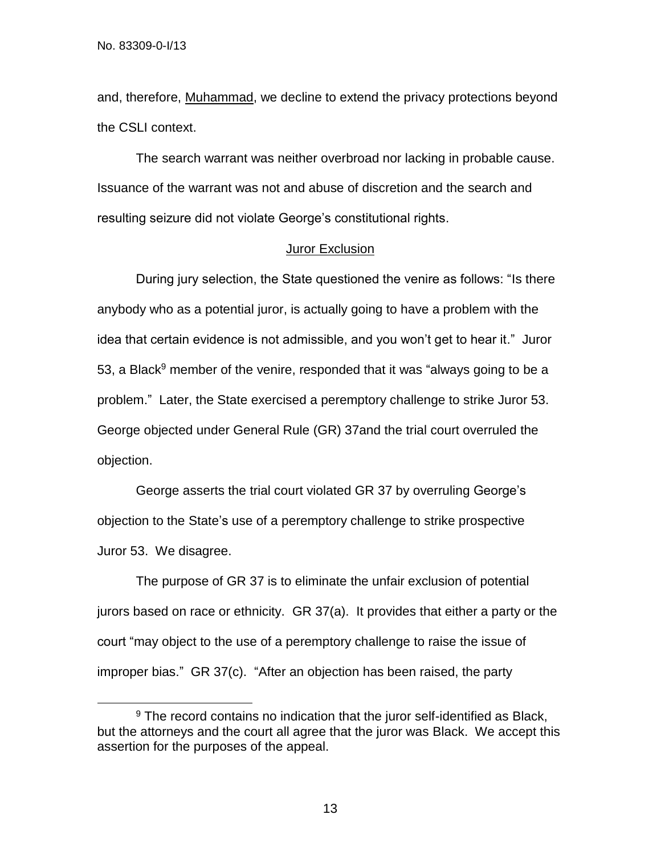$\overline{\phantom{a}}$ 

and, therefore, Muhammad, we decline to extend the privacy protections beyond the CSLI context.

The search warrant was neither overbroad nor lacking in probable cause. Issuance of the warrant was not and abuse of discretion and the search and resulting seizure did not violate George's constitutional rights.

# Juror Exclusion

During jury selection, the State questioned the venire as follows: "Is there anybody who as a potential juror, is actually going to have a problem with the idea that certain evidence is not admissible, and you won't get to hear it." Juror 53, a Black<sup>9</sup> member of the venire, responded that it was "always going to be a problem." Later, the State exercised a peremptory challenge to strike Juror 53. George objected under General Rule (GR) 37and the trial court overruled the objection.

George asserts the trial court violated GR 37 by overruling George's objection to the State's use of a peremptory challenge to strike prospective Juror 53. We disagree.

The purpose of GR 37 is to eliminate the unfair exclusion of potential jurors based on race or ethnicity. GR 37(a). It provides that either a party or the court "may object to the use of a peremptory challenge to raise the issue of improper bias." GR 37(c). "After an objection has been raised, the party

<sup>&</sup>lt;sup>9</sup> The record contains no indication that the juror self-identified as Black, but the attorneys and the court all agree that the juror was Black. We accept this assertion for the purposes of the appeal.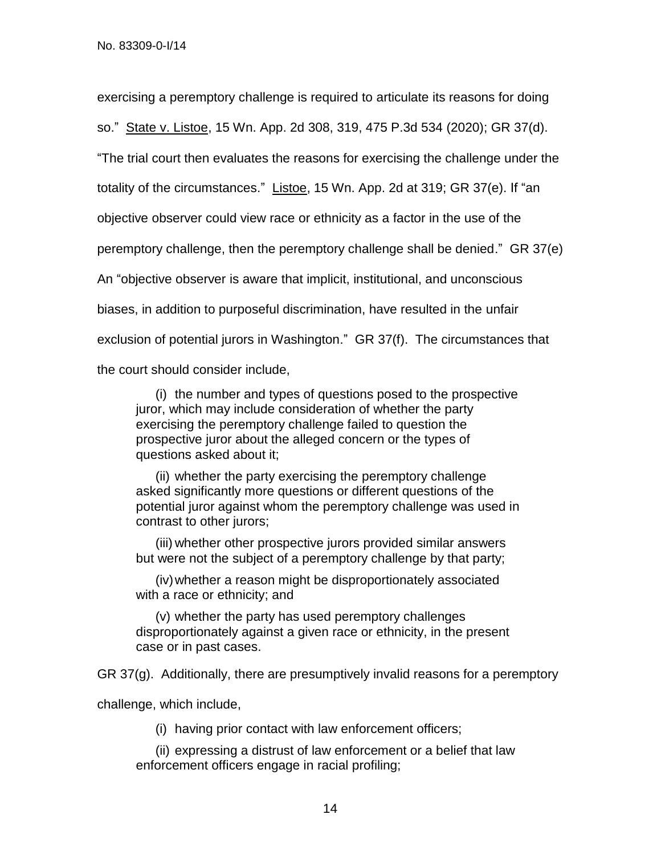exercising a peremptory challenge is required to articulate its reasons for doing so." State v. Listoe, 15 Wn. App. 2d 308, 319, 475 P.3d 534 (2020); GR 37(d). "The trial court then evaluates the reasons for exercising the challenge under the totality of the circumstances." Listoe, 15 Wn. App. 2d at 319; GR 37(e). If "an objective observer could view race or ethnicity as a factor in the use of the peremptory challenge, then the peremptory challenge shall be denied." GR 37(e) An "objective observer is aware that implicit, institutional, and unconscious biases, in addition to purposeful discrimination, have resulted in the unfair exclusion of potential jurors in Washington." GR 37(f). The circumstances that the court should consider include,

(i) the number and types of questions posed to the prospective juror, which may include consideration of whether the party exercising the peremptory challenge failed to question the prospective juror about the alleged concern or the types of questions asked about it;

(ii) whether the party exercising the peremptory challenge asked significantly more questions or different questions of the potential juror against whom the peremptory challenge was used in contrast to other jurors;

(iii) whether other prospective jurors provided similar answers but were not the subject of a peremptory challenge by that party;

(iv)whether a reason might be disproportionately associated with a race or ethnicity; and

(v) whether the party has used peremptory challenges disproportionately against a given race or ethnicity, in the present case or in past cases.

GR 37(g). Additionally, there are presumptively invalid reasons for a peremptory

challenge, which include,

(i) having prior contact with law enforcement officers;

(ii) expressing a distrust of law enforcement or a belief that law enforcement officers engage in racial profiling;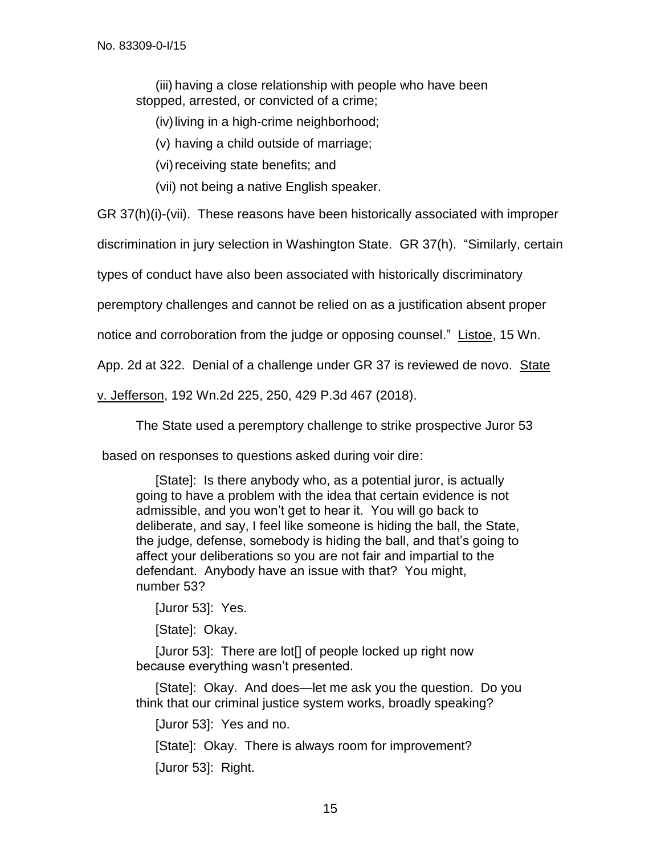(iii) having a close relationship with people who have been stopped, arrested, or convicted of a crime;

(iv)living in a high-crime neighborhood;

(v) having a child outside of marriage;

(vi) receiving state benefits; and

(vii) not being a native English speaker.

GR 37(h)(i)-(vii). These reasons have been historically associated with improper

discrimination in jury selection in Washington State. GR 37(h). "Similarly, certain

types of conduct have also been associated with historically discriminatory

peremptory challenges and cannot be relied on as a justification absent proper

notice and corroboration from the judge or opposing counsel." Listoe, 15 Wn.

App. 2d at 322. Denial of a challenge under GR 37 is reviewed de novo. State

v. Jefferson, 192 Wn.2d 225, 250, 429 P.3d 467 (2018).

The State used a peremptory challenge to strike prospective Juror 53

based on responses to questions asked during voir dire:

[State]: Is there anybody who, as a potential juror, is actually going to have a problem with the idea that certain evidence is not admissible, and you won't get to hear it. You will go back to deliberate, and say, I feel like someone is hiding the ball, the State, the judge, defense, somebody is hiding the ball, and that's going to affect your deliberations so you are not fair and impartial to the defendant. Anybody have an issue with that? You might, number 53?

[Juror 53]: Yes.

[State]: Okay.

[Juror 53]: There are lot[] of people locked up right now because everything wasn't presented.

[State]: Okay. And does—let me ask you the question. Do you think that our criminal justice system works, broadly speaking?

[Juror 53]: Yes and no.

[State]: Okay. There is always room for improvement?

[Juror 53]: Right.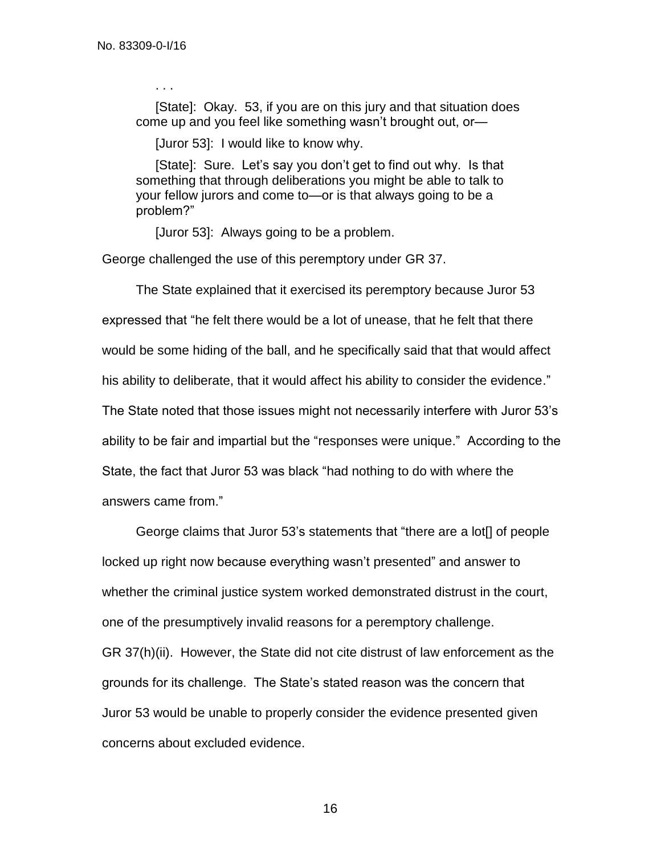. . .

[State]: Okay. 53, if you are on this jury and that situation does come up and you feel like something wasn't brought out, or—

[Juror 53]: I would like to know why.

[State]: Sure. Let's say you don't get to find out why. Is that something that through deliberations you might be able to talk to your fellow jurors and come to—or is that always going to be a problem?"

[Juror 53]: Always going to be a problem.

George challenged the use of this peremptory under GR 37.

The State explained that it exercised its peremptory because Juror 53 expressed that "he felt there would be a lot of unease, that he felt that there would be some hiding of the ball, and he specifically said that that would affect his ability to deliberate, that it would affect his ability to consider the evidence." The State noted that those issues might not necessarily interfere with Juror 53's ability to be fair and impartial but the "responses were unique." According to the State, the fact that Juror 53 was black "had nothing to do with where the answers came from."

George claims that Juror 53's statements that "there are a lot[] of people locked up right now because everything wasn't presented" and answer to whether the criminal justice system worked demonstrated distrust in the court, one of the presumptively invalid reasons for a peremptory challenge. GR 37(h)(ii). However, the State did not cite distrust of law enforcement as the grounds for its challenge. The State's stated reason was the concern that Juror 53 would be unable to properly consider the evidence presented given concerns about excluded evidence.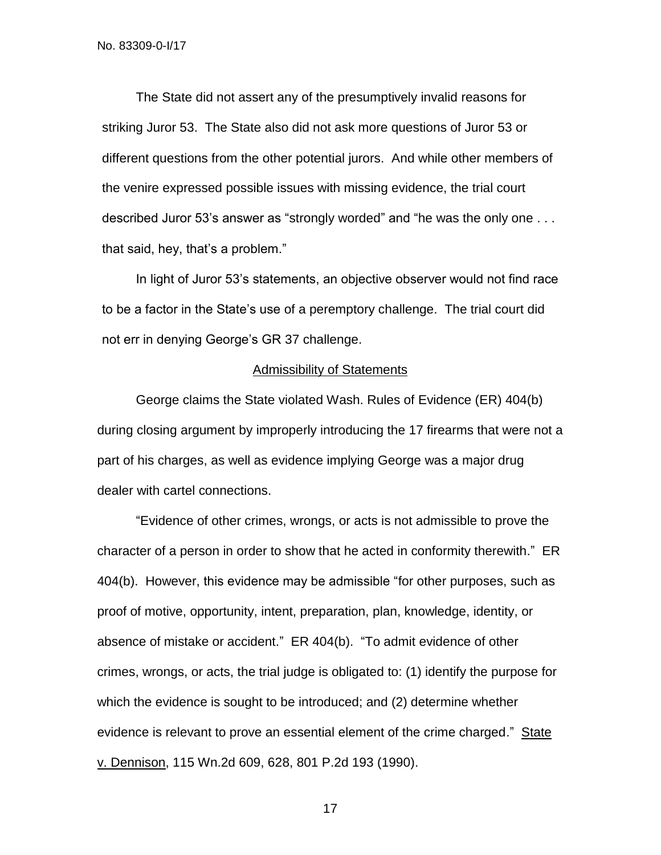The State did not assert any of the presumptively invalid reasons for striking Juror 53. The State also did not ask more questions of Juror 53 or different questions from the other potential jurors. And while other members of the venire expressed possible issues with missing evidence, the trial court described Juror 53's answer as "strongly worded" and "he was the only one . . . that said, hey, that's a problem."

In light of Juror 53's statements, an objective observer would not find race to be a factor in the State's use of a peremptory challenge. The trial court did not err in denying George's GR 37 challenge.

#### Admissibility of Statements

George claims the State violated Wash. Rules of Evidence (ER) 404(b) during closing argument by improperly introducing the 17 firearms that were not a part of his charges, as well as evidence implying George was a major drug dealer with cartel connections.

"Evidence of other crimes, wrongs, or acts is not admissible to prove the character of a person in order to show that he acted in conformity therewith." ER 404(b). However, this evidence may be admissible "for other purposes, such as proof of motive, opportunity, intent, preparation, plan, knowledge, identity, or absence of mistake or accident." ER 404(b). "To admit evidence of other crimes, wrongs, or acts, the trial judge is obligated to: (1) identify the purpose for which the evidence is sought to be introduced; and (2) determine whether evidence is relevant to prove an essential element of the crime charged." State v. Dennison, 115 Wn.2d 609, 628, 801 P.2d 193 (1990).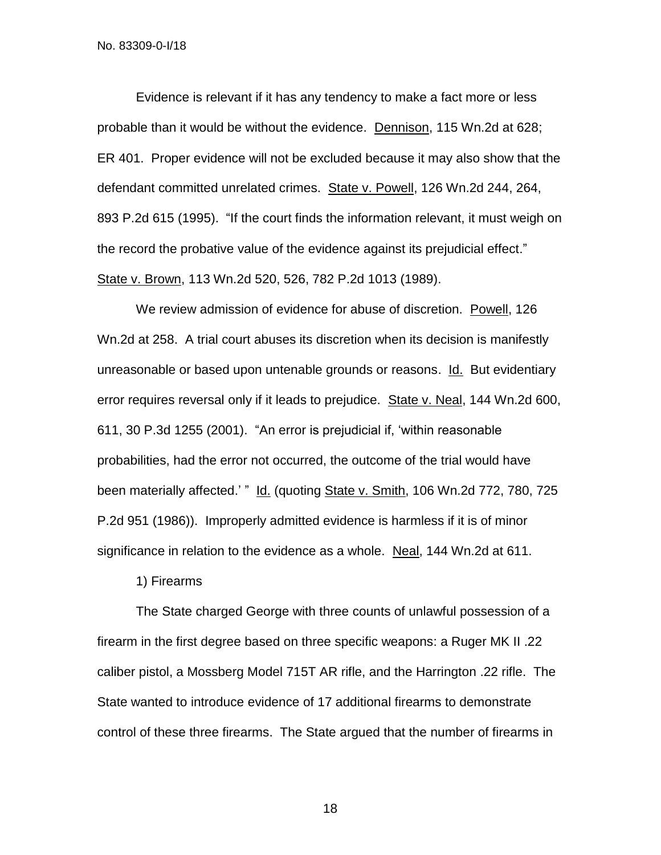Evidence is relevant if it has any tendency to make a fact more or less probable than it would be without the evidence. Dennison, 115 Wn.2d at 628; ER 401. Proper evidence will not be excluded because it may also show that the defendant committed unrelated crimes. State v. Powell, 126 Wn.2d 244, 264, 893 P.2d 615 (1995). "If the court finds the information relevant, it must weigh on the record the probative value of the evidence against its prejudicial effect." State v. Brown, 113 Wn.2d 520, 526, 782 P.2d 1013 (1989).

We review admission of evidence for abuse of discretion. Powell, 126 Wn.2d at 258. A trial court abuses its discretion when its decision is manifestly unreasonable or based upon untenable grounds or reasons. Id. But evidentiary error requires reversal only if it leads to prejudice. State v. Neal, 144 Wn.2d 600, 611, 30 P.3d 1255 (2001). "An error is prejudicial if, 'within reasonable probabilities, had the error not occurred, the outcome of the trial would have been materially affected.' " Id. (quoting State v. Smith, 106 Wn.2d 772, 780, 725 P.2d 951 (1986)). Improperly admitted evidence is harmless if it is of minor significance in relation to the evidence as a whole. Neal, 144 Wn.2d at 611.

1) Firearms

The State charged George with three counts of unlawful possession of a firearm in the first degree based on three specific weapons: a Ruger MK II .22 caliber pistol, a Mossberg Model 715T AR rifle, and the Harrington .22 rifle. The State wanted to introduce evidence of 17 additional firearms to demonstrate control of these three firearms. The State argued that the number of firearms in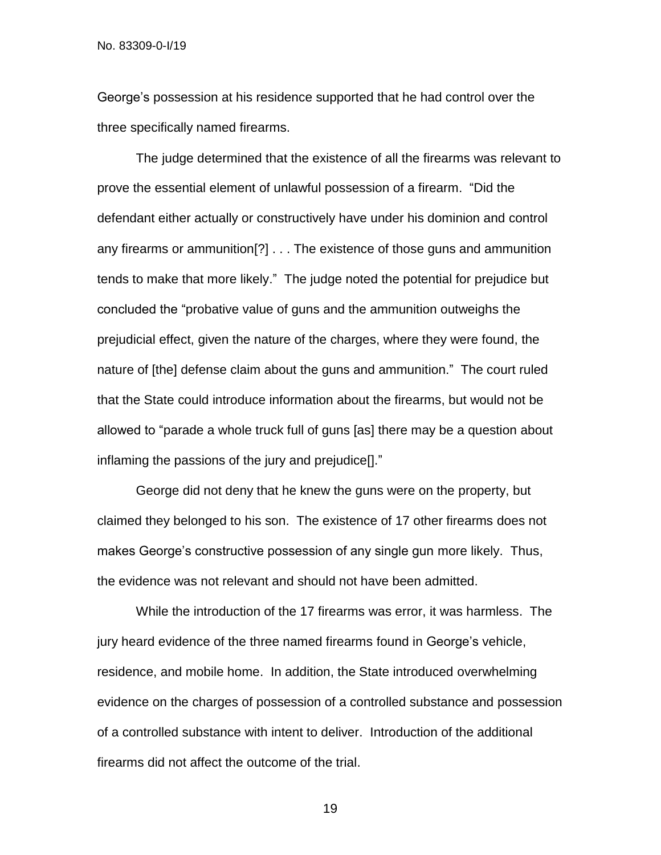George's possession at his residence supported that he had control over the three specifically named firearms.

The judge determined that the existence of all the firearms was relevant to prove the essential element of unlawful possession of a firearm. "Did the defendant either actually or constructively have under his dominion and control any firearms or ammunition[?] . . . The existence of those guns and ammunition tends to make that more likely." The judge noted the potential for prejudice but concluded the "probative value of guns and the ammunition outweighs the prejudicial effect, given the nature of the charges, where they were found, the nature of [the] defense claim about the guns and ammunition." The court ruled that the State could introduce information about the firearms, but would not be allowed to "parade a whole truck full of guns [as] there may be a question about inflaming the passions of the jury and prejudice[]."

George did not deny that he knew the guns were on the property, but claimed they belonged to his son. The existence of 17 other firearms does not makes George's constructive possession of any single gun more likely. Thus, the evidence was not relevant and should not have been admitted.

While the introduction of the 17 firearms was error, it was harmless. The jury heard evidence of the three named firearms found in George's vehicle, residence, and mobile home. In addition, the State introduced overwhelming evidence on the charges of possession of a controlled substance and possession of a controlled substance with intent to deliver. Introduction of the additional firearms did not affect the outcome of the trial.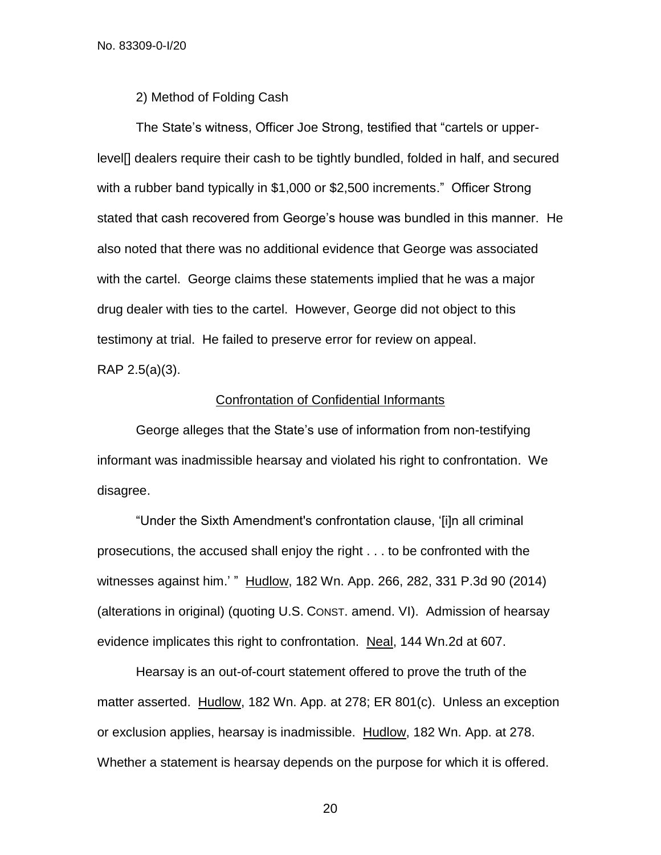2) Method of Folding Cash

The State's witness, Officer Joe Strong, testified that "cartels or upperlevel[] dealers require their cash to be tightly bundled, folded in half, and secured with a rubber band typically in \$1,000 or \$2,500 increments." Officer Strong stated that cash recovered from George's house was bundled in this manner. He also noted that there was no additional evidence that George was associated with the cartel. George claims these statements implied that he was a major drug dealer with ties to the cartel. However, George did not object to this testimony at trial. He failed to preserve error for review on appeal.

RAP 2.5(a)(3).

#### Confrontation of Confidential Informants

George alleges that the State's use of information from non-testifying informant was inadmissible hearsay and violated his right to confrontation. We disagree.

"Under the Sixth Amendment's confrontation clause, '[i]n all criminal prosecutions, the accused shall enjoy the right . . . to be confronted with the witnesses against him.' " Hudlow, 182 Wn. App. 266, 282, 331 P.3d 90 (2014) (alterations in original) (quoting U.S. CONST. amend. VI). Admission of hearsay evidence implicates this right to confrontation. Neal, 144 Wn.2d at 607.

Hearsay is an out-of-court statement offered to prove the truth of the matter asserted. Hudlow, 182 Wn. App. at 278; ER 801(c). Unless an exception or exclusion applies, hearsay is inadmissible. Hudlow, 182 Wn. App. at 278. Whether a statement is hearsay depends on the purpose for which it is offered.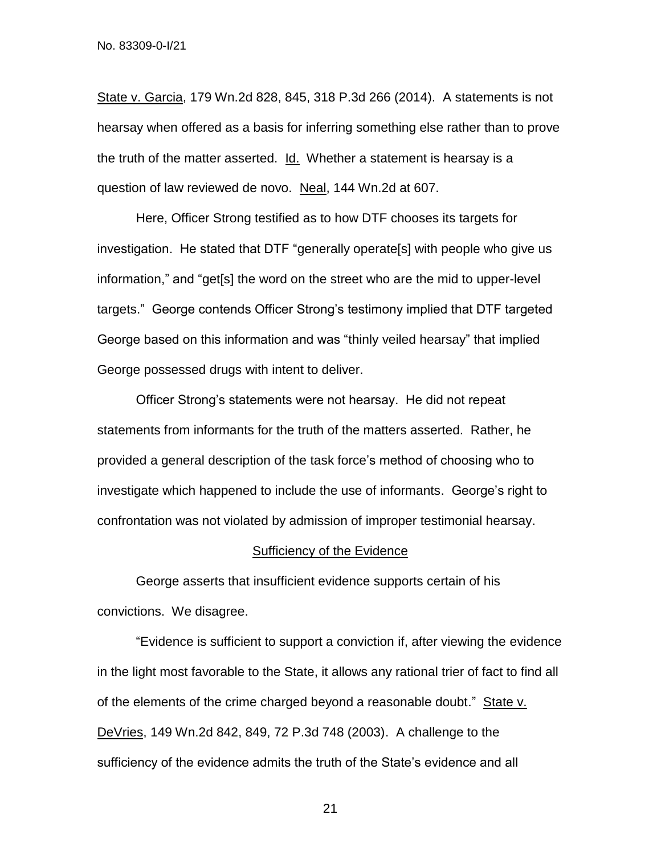State v. Garcia, 179 Wn.2d 828, 845, 318 P.3d 266 (2014). A statements is not hearsay when offered as a basis for inferring something else rather than to prove the truth of the matter asserted. Id. Whether a statement is hearsay is a question of law reviewed de novo. Neal, 144 Wn.2d at 607.

Here, Officer Strong testified as to how DTF chooses its targets for investigation. He stated that DTF "generally operate[s] with people who give us information," and "get[s] the word on the street who are the mid to upper-level targets." George contends Officer Strong's testimony implied that DTF targeted George based on this information and was "thinly veiled hearsay" that implied George possessed drugs with intent to deliver.

Officer Strong's statements were not hearsay. He did not repeat statements from informants for the truth of the matters asserted. Rather, he provided a general description of the task force's method of choosing who to investigate which happened to include the use of informants. George's right to confrontation was not violated by admission of improper testimonial hearsay.

#### Sufficiency of the Evidence

George asserts that insufficient evidence supports certain of his convictions. We disagree.

"Evidence is sufficient to support a conviction if, after viewing the evidence in the light most favorable to the State, it allows any rational trier of fact to find all of the elements of the crime charged beyond a reasonable doubt." State v. DeVries, 149 Wn.2d 842, 849, 72 P.3d 748 (2003). A challenge to the sufficiency of the evidence admits the truth of the State's evidence and all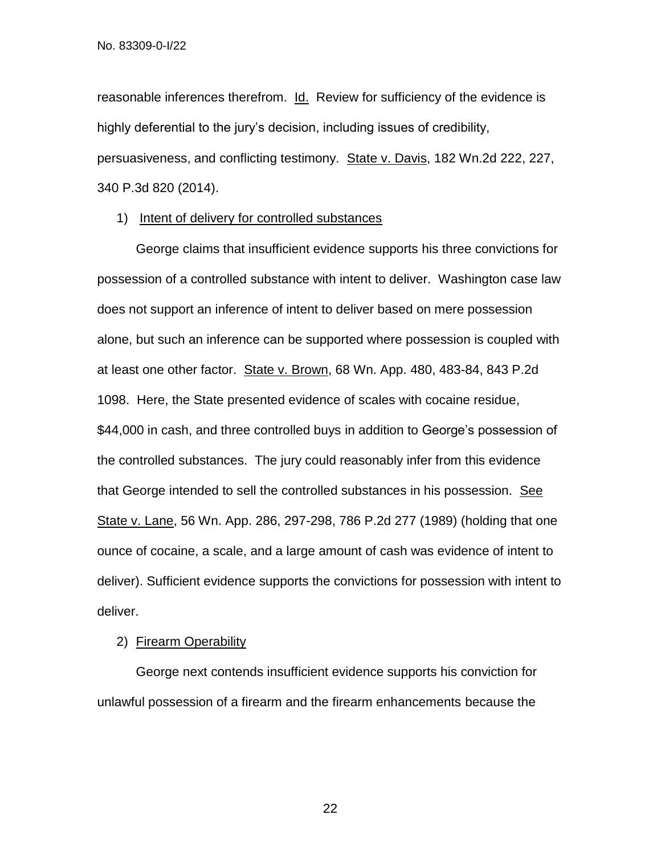reasonable inferences therefrom. Id. Review for sufficiency of the evidence is highly deferential to the jury's decision, including issues of credibility, persuasiveness, and conflicting testimony. State v. Davis, 182 Wn.2d 222, 227, 340 P.3d 820 (2014).

## 1) Intent of delivery for controlled substances

George claims that insufficient evidence supports his three convictions for possession of a controlled substance with intent to deliver. Washington case law does not support an inference of intent to deliver based on mere possession alone, but such an inference can be supported where possession is coupled with at least one other factor. State v. Brown, 68 Wn. App. 480, 483-84, 843 P.2d 1098. Here, the State presented evidence of scales with cocaine residue, \$44,000 in cash, and three controlled buys in addition to George's possession of the controlled substances. The jury could reasonably infer from this evidence that George intended to sell the controlled substances in his possession. See State v. Lane, 56 Wn. App. 286, 297-298, 786 P.2d 277 (1989) (holding that one ounce of cocaine, a scale, and a large amount of cash was evidence of intent to deliver). Sufficient evidence supports the convictions for possession with intent to deliver.

# 2) Firearm Operability

George next contends insufficient evidence supports his conviction for unlawful possession of a firearm and the firearm enhancements because the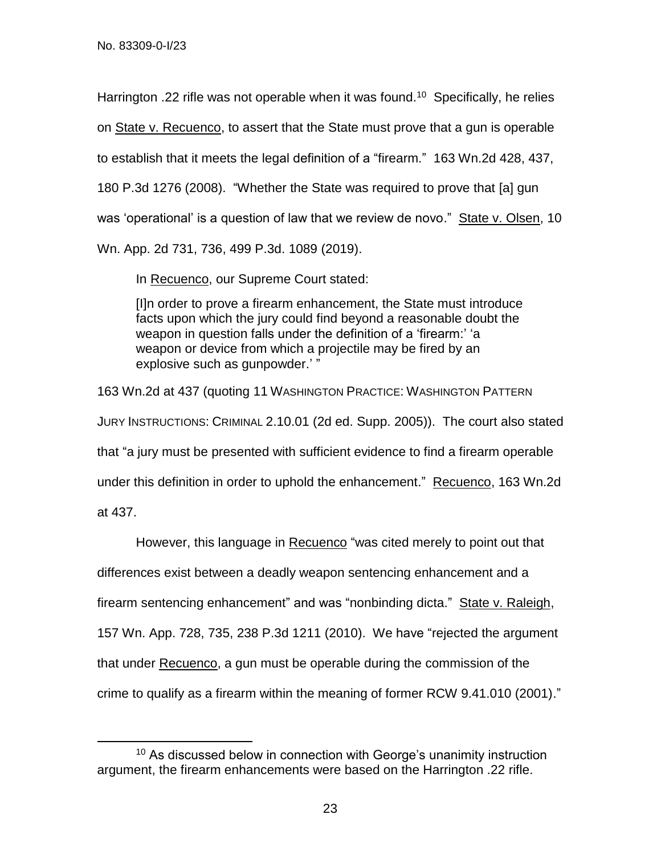Harrington .22 rifle was not operable when it was found.<sup>10</sup> Specifically, he relies on State v. Recuenco, to assert that the State must prove that a gun is operable to establish that it meets the legal definition of a "firearm." 163 Wn.2d 428, 437, 180 P.3d 1276 (2008). "Whether the State was required to prove that [a] gun was 'operational' is a question of law that we review de novo." State v. Olsen, 10 Wn. App. 2d 731, 736, 499 P.3d. 1089 (2019).

In Recuenco, our Supreme Court stated:

[I]n order to prove a firearm enhancement, the State must introduce facts upon which the jury could find beyond a reasonable doubt the weapon in question falls under the definition of a 'firearm:' 'a weapon or device from which a projectile may be fired by an explosive such as gunpowder.' "

163 Wn.2d at 437 (quoting 11 WASHINGTON PRACTICE: WASHINGTON PATTERN JURY INSTRUCTIONS: CRIMINAL 2.10.01 (2d ed. Supp. 2005)). The court also stated that "a jury must be presented with sufficient evidence to find a firearm operable under this definition in order to uphold the enhancement." Recuenco, 163 Wn.2d at 437.

However, this language in Recuenco "was cited merely to point out that differences exist between a deadly weapon sentencing enhancement and a firearm sentencing enhancement" and was "nonbinding dicta." State v. Raleigh, 157 Wn. App. 728, 735, 238 P.3d 1211 (2010). We have "rejected the argument that under Recuenco, a gun must be operable during the commission of the crime to qualify as a firearm within the meaning of former RCW 9.41.010 (2001)."

 $\overline{\phantom{a}}$ <sup>10</sup> As discussed below in connection with George's unanimity instruction argument, the firearm enhancements were based on the Harrington .22 rifle.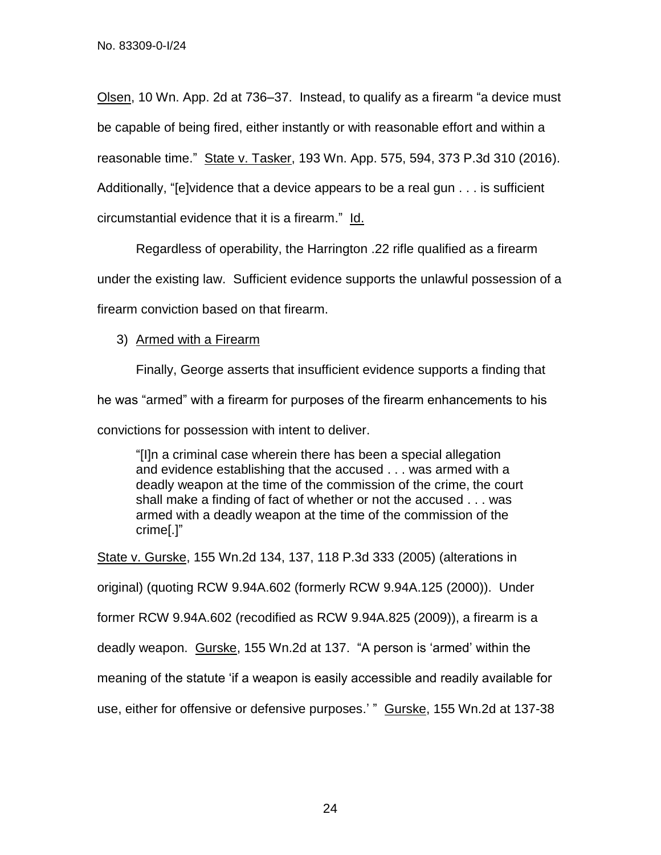Olsen, 10 Wn. App. 2d at 736–37. Instead, to qualify as a firearm "a device must be capable of being fired, either instantly or with reasonable effort and within a reasonable time." State v. Tasker, 193 Wn. App. 575, 594, 373 P.3d 310 (2016). Additionally, "[e]vidence that a device appears to be a real gun . . . is sufficient circumstantial evidence that it is a firearm." Id.

Regardless of operability, the Harrington .22 rifle qualified as a firearm under the existing law. Sufficient evidence supports the unlawful possession of a firearm conviction based on that firearm.

3) Armed with a Firearm

Finally, George asserts that insufficient evidence supports a finding that he was "armed" with a firearm for purposes of the firearm enhancements to his convictions for possession with intent to deliver.

"[I]n a criminal case wherein there has been a special allegation and evidence establishing that the accused . . . was armed with a deadly weapon at the time of the commission of the crime, the court shall make a finding of fact of whether or not the accused . . . was armed with a deadly weapon at the time of the commission of the crime[.]"

State v. Gurske, 155 Wn.2d 134, 137, 118 P.3d 333 (2005) (alterations in original) (quoting RCW 9.94A.602 (formerly RCW 9.94A.125 (2000)). Under former RCW 9.94A.602 (recodified as RCW 9.94A.825 (2009)), a firearm is a deadly weapon. Gurske, 155 Wn.2d at 137. "A person is 'armed' within the meaning of the statute 'if a weapon is easily accessible and readily available for use, either for offensive or defensive purposes.' " Gurske, 155 Wn.2d at 137-38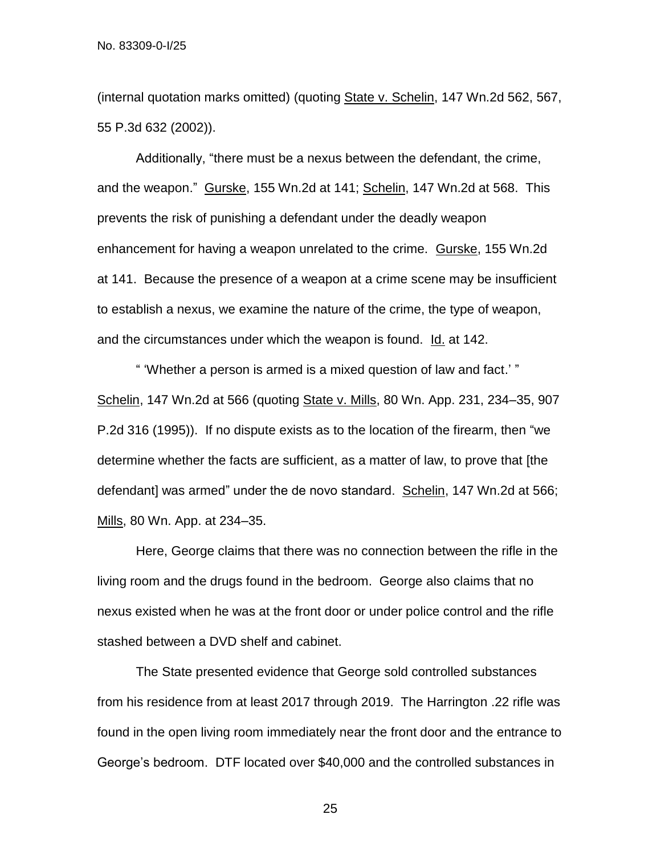(internal quotation marks omitted) (quoting State v. Schelin, 147 Wn.2d 562, 567, 55 P.3d 632 (2002)).

Additionally, "there must be a nexus between the defendant, the crime, and the weapon." Gurske, 155 Wn.2d at 141; Schelin, 147 Wn.2d at 568. This prevents the risk of punishing a defendant under the deadly weapon enhancement for having a weapon unrelated to the crime. Gurske, 155 Wn.2d at 141. Because the presence of a weapon at a crime scene may be insufficient to establish a nexus, we examine the nature of the crime, the type of weapon, and the circumstances under which the weapon is found. Id. at 142.

" 'Whether a person is armed is a mixed question of law and fact.' " Schelin, 147 Wn.2d at 566 (quoting State v. Mills, 80 Wn. App. 231, 234–35, 907 P.2d 316 (1995)). If no dispute exists as to the location of the firearm, then "we determine whether the facts are sufficient, as a matter of law, to prove that [the defendant] was armed" under the de novo standard. Schelin, 147 Wn.2d at 566; Mills, 80 Wn. App. at 234–35.

Here, George claims that there was no connection between the rifle in the living room and the drugs found in the bedroom. George also claims that no nexus existed when he was at the front door or under police control and the rifle stashed between a DVD shelf and cabinet.

The State presented evidence that George sold controlled substances from his residence from at least 2017 through 2019. The Harrington .22 rifle was found in the open living room immediately near the front door and the entrance to George's bedroom. DTF located over \$40,000 and the controlled substances in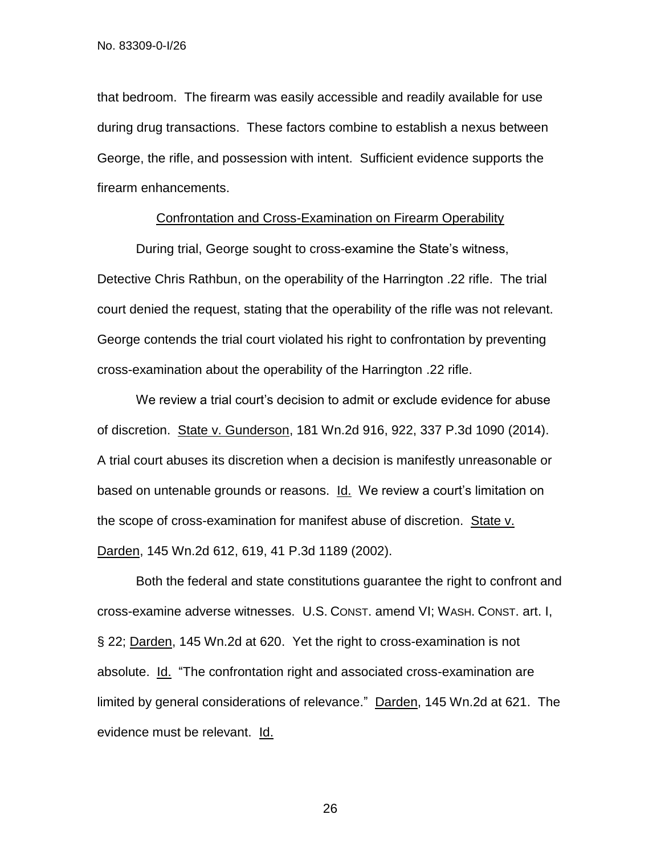that bedroom. The firearm was easily accessible and readily available for use during drug transactions. These factors combine to establish a nexus between George, the rifle, and possession with intent. Sufficient evidence supports the firearm enhancements.

#### Confrontation and Cross-Examination on Firearm Operability

During trial, George sought to cross-examine the State's witness, Detective Chris Rathbun, on the operability of the Harrington .22 rifle. The trial court denied the request, stating that the operability of the rifle was not relevant. George contends the trial court violated his right to confrontation by preventing cross-examination about the operability of the Harrington .22 rifle.

We review a trial court's decision to admit or exclude evidence for abuse of discretion. State v. Gunderson, 181 Wn.2d 916, 922, 337 P.3d 1090 (2014). A trial court abuses its discretion when a decision is manifestly unreasonable or based on untenable grounds or reasons. Id. We review a court's limitation on the scope of cross-examination for manifest abuse of discretion. State v. Darden, 145 Wn.2d 612, 619, 41 P.3d 1189 (2002).

Both the federal and state constitutions guarantee the right to confront and cross-examine adverse witnesses. U.S. CONST. amend VI; WASH. CONST. art. I, § 22; Darden, 145 Wn.2d at 620. Yet the right to cross-examination is not absolute. Id. "The confrontation right and associated cross-examination are limited by general considerations of relevance." Darden, 145 Wn.2d at 621. The evidence must be relevant. Id.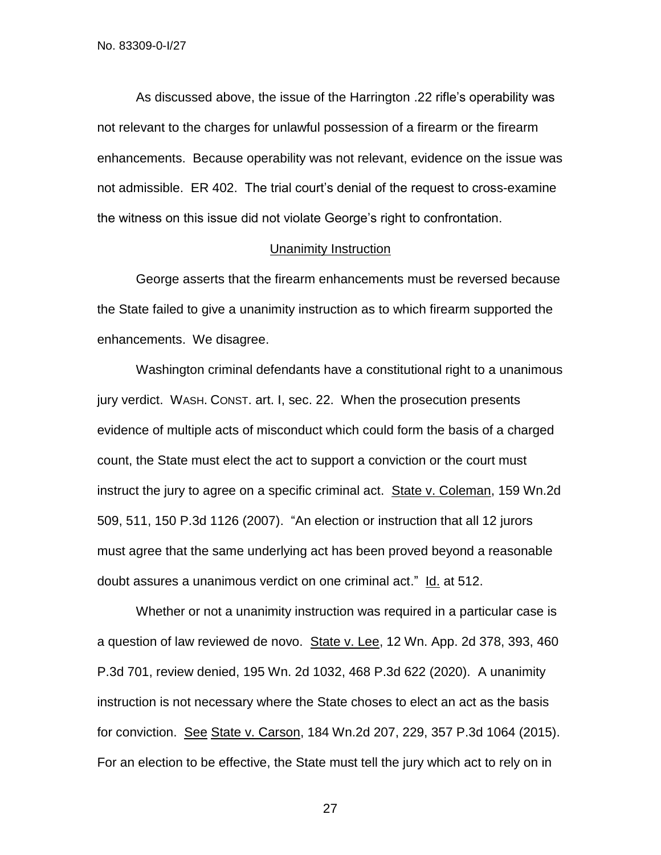As discussed above, the issue of the Harrington .22 rifle's operability was not relevant to the charges for unlawful possession of a firearm or the firearm enhancements. Because operability was not relevant, evidence on the issue was not admissible. ER 402. The trial court's denial of the request to cross-examine the witness on this issue did not violate George's right to confrontation.

## Unanimity Instruction

George asserts that the firearm enhancements must be reversed because the State failed to give a unanimity instruction as to which firearm supported the enhancements. We disagree.

Washington criminal defendants have a constitutional right to a unanimous jury verdict. WASH. CONST. art. I, sec. 22. When the prosecution presents evidence of multiple acts of misconduct which could form the basis of a charged count, the State must elect the act to support a conviction or the court must instruct the jury to agree on a specific criminal act. State v. Coleman, 159 Wn.2d 509, 511, 150 P.3d 1126 (2007). "An election or instruction that all 12 jurors must agree that the same underlying act has been proved beyond a reasonable doubt assures a unanimous verdict on one criminal act." Id. at 512.

Whether or not a unanimity instruction was required in a particular case is a question of law reviewed de novo. State v. Lee, 12 Wn. App. 2d 378, 393, 460 P.3d 701, review denied, 195 Wn. 2d 1032, 468 P.3d 622 (2020). A unanimity instruction is not necessary where the State choses to elect an act as the basis for conviction. See State v. Carson, 184 Wn.2d 207, 229, 357 P.3d 1064 (2015). For an election to be effective, the State must tell the jury which act to rely on in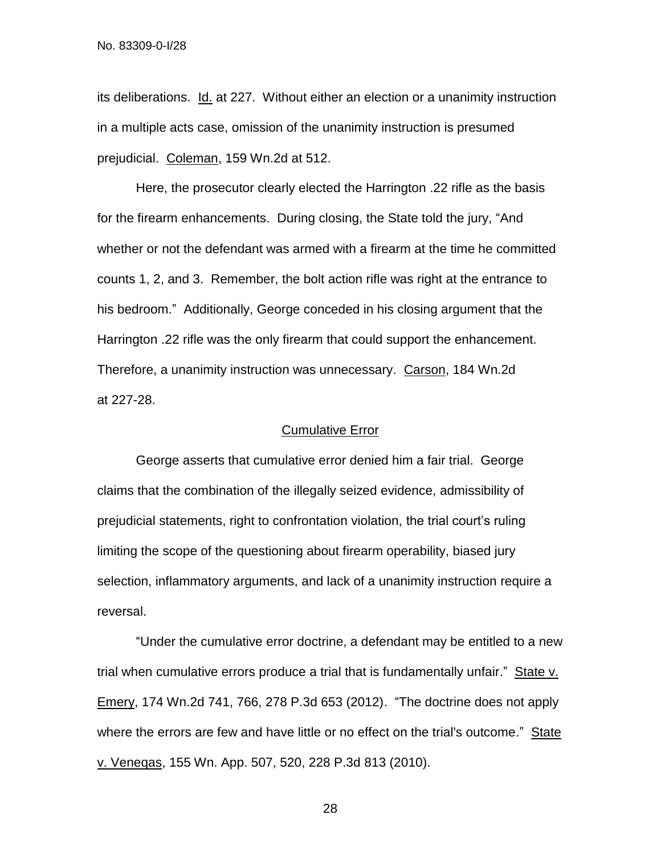its deliberations. Id. at 227. Without either an election or a unanimity instruction in a multiple acts case, omission of the unanimity instruction is presumed prejudicial. Coleman, 159 Wn.2d at 512.

Here, the prosecutor clearly elected the Harrington .22 rifle as the basis for the firearm enhancements. During closing, the State told the jury, "And whether or not the defendant was armed with a firearm at the time he committed counts 1, 2, and 3. Remember, the bolt action rifle was right at the entrance to his bedroom." Additionally, George conceded in his closing argument that the Harrington .22 rifle was the only firearm that could support the enhancement. Therefore, a unanimity instruction was unnecessary. Carson, 184 Wn.2d at 227-28.

## Cumulative Error

George asserts that cumulative error denied him a fair trial. George claims that the combination of the illegally seized evidence, admissibility of prejudicial statements, right to confrontation violation, the trial court's ruling limiting the scope of the questioning about firearm operability, biased jury selection, inflammatory arguments, and lack of a unanimity instruction require a reversal.

"Under the cumulative error doctrine, a defendant may be entitled to a new trial when cumulative errors produce a trial that is fundamentally unfair." State v. Emery, 174 Wn.2d 741, 766, 278 P.3d 653 (2012). "The doctrine does not apply where the errors are few and have little or no effect on the trial's outcome." State v. Veneqas, 155 Wn. App. 507, 520, 228 P.3d 813 (2010).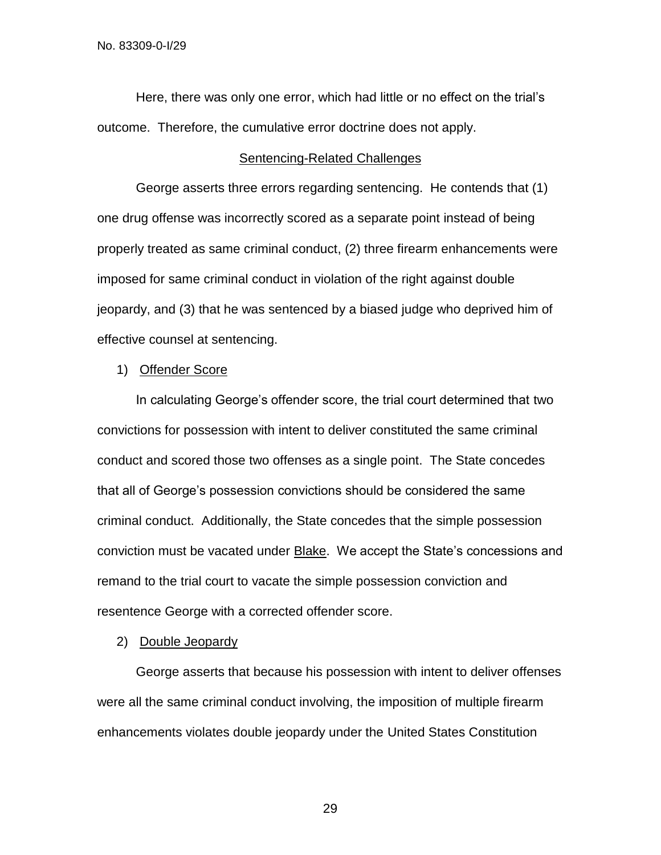Here, there was only one error, which had little or no effect on the trial's outcome. Therefore, the cumulative error doctrine does not apply.

#### Sentencing-Related Challenges

George asserts three errors regarding sentencing. He contends that (1) one drug offense was incorrectly scored as a separate point instead of being properly treated as same criminal conduct, (2) three firearm enhancements were imposed for same criminal conduct in violation of the right against double jeopardy, and (3) that he was sentenced by a biased judge who deprived him of effective counsel at sentencing.

# 1) Offender Score

In calculating George's offender score, the trial court determined that two convictions for possession with intent to deliver constituted the same criminal conduct and scored those two offenses as a single point. The State concedes that all of George's possession convictions should be considered the same criminal conduct. Additionally, the State concedes that the simple possession conviction must be vacated under Blake. We accept the State's concessions and remand to the trial court to vacate the simple possession conviction and resentence George with a corrected offender score.

#### 2) Double Jeopardy

George asserts that because his possession with intent to deliver offenses were all the same criminal conduct involving, the imposition of multiple firearm enhancements violates double jeopardy under the United States Constitution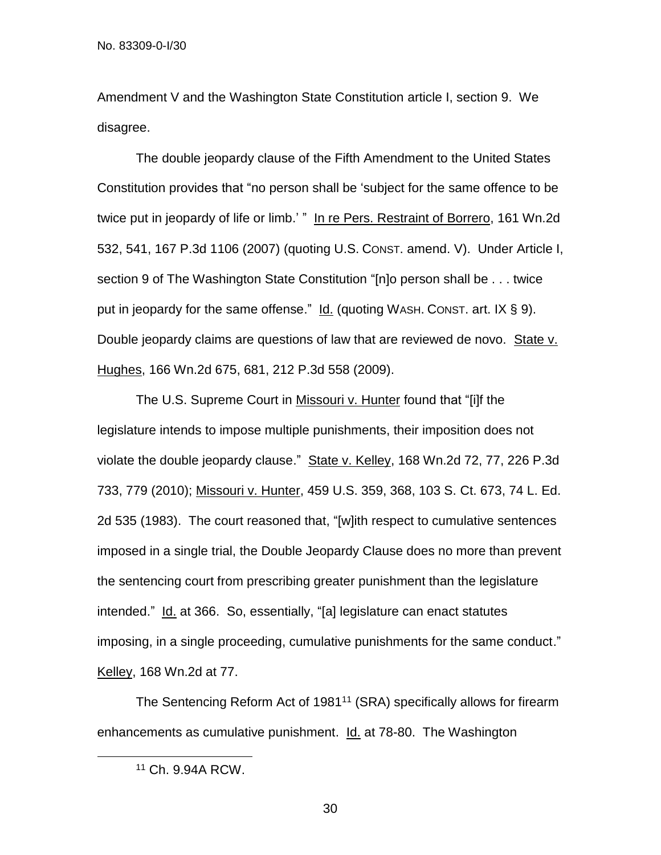Amendment V and the Washington State Constitution article I, section 9. We disagree.

The double jeopardy clause of the Fifth Amendment to the United States Constitution provides that "no person shall be 'subject for the same offence to be twice put in jeopardy of life or limb.' " In re Pers. Restraint of Borrero, 161 Wn.2d 532, 541, 167 P.3d 1106 (2007) (quoting U.S. CONST. amend. V). Under Article I, section 9 of The Washington State Constitution "[n]o person shall be . . . twice put in jeopardy for the same offense." Id. (quoting WASH. CONST. art. IX § 9). Double jeopardy claims are questions of law that are reviewed de novo. State v. Hughes, 166 Wn.2d 675, 681, 212 P.3d 558 (2009).

The U.S. Supreme Court in Missouri v. Hunter found that "[i]f the legislature intends to impose multiple punishments, their imposition does not violate the double jeopardy clause." State v. Kelley, 168 Wn.2d 72, 77, 226 P.3d 733, 779 (2010); Missouri v. Hunter, 459 U.S. 359, 368, 103 S. Ct. 673, 74 L. Ed. 2d 535 (1983). The court reasoned that, "[w]ith respect to cumulative sentences imposed in a single trial, the Double Jeopardy Clause does no more than prevent the sentencing court from prescribing greater punishment than the legislature intended." Id. at 366. So, essentially, "[a] legislature can enact statutes imposing, in a single proceeding, cumulative punishments for the same conduct." Kelley, 168 Wn.2d at 77.

The Sentencing Reform Act of 1981<sup>11</sup> (SRA) specifically allows for firearm enhancements as cumulative punishment. Id. at 78-80. The Washington

 $\overline{\phantom{a}}$ 

<sup>11</sup> Ch. 9.94A RCW.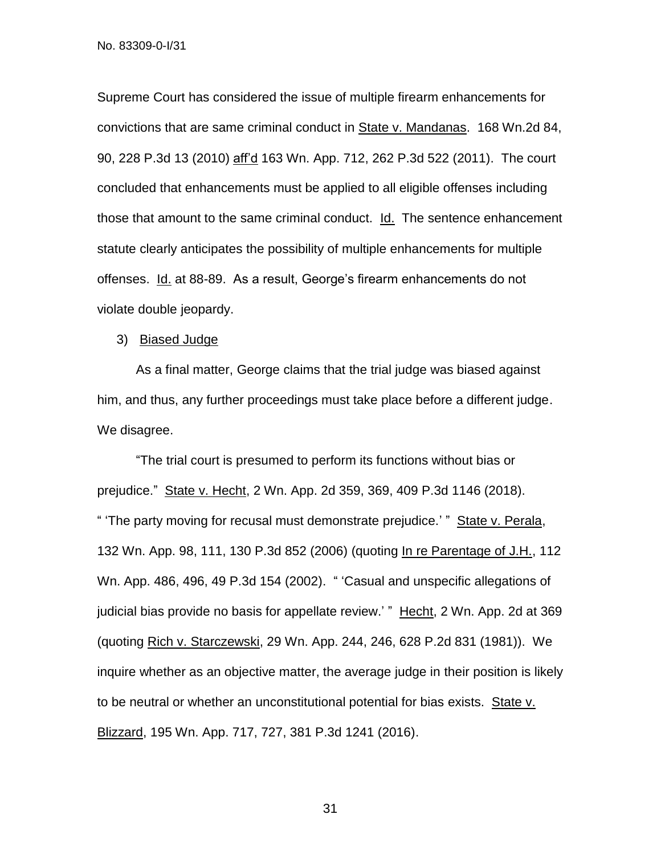Supreme Court has considered the issue of multiple firearm enhancements for convictions that are same criminal conduct in State v. Mandanas. 168 Wn.2d 84, 90, 228 P.3d 13 (2010) aff'd 163 Wn. App. 712, 262 P.3d 522 (2011). The court concluded that enhancements must be applied to all eligible offenses including those that amount to the same criminal conduct. Id. The sentence enhancement statute clearly anticipates the possibility of multiple enhancements for multiple offenses. Id. at 88-89. As a result, George's firearm enhancements do not violate double jeopardy.

3) Biased Judge

As a final matter, George claims that the trial judge was biased against him, and thus, any further proceedings must take place before a different judge. We disagree.

"The trial court is presumed to perform its functions without bias or prejudice." State v. Hecht, 2 Wn. App. 2d 359, 369, 409 P.3d 1146 (2018). " 'The party moving for recusal must demonstrate prejudice.' " State v. Perala, 132 Wn. App. 98, 111, 130 P.3d 852 (2006) (quoting In re Parentage of J.H., 112 Wn. App. 486, 496, 49 P.3d 154 (2002). " 'Casual and unspecific allegations of judicial bias provide no basis for appellate review.' " Hecht, 2 Wn. App. 2d at 369 (quoting Rich v. Starczewski, 29 Wn. App. 244, 246, 628 P.2d 831 (1981)). We inquire whether as an objective matter, the average judge in their position is likely to be neutral or whether an unconstitutional potential for bias exists. State v. Blizzard, 195 Wn. App. 717, 727, 381 P.3d 1241 (2016).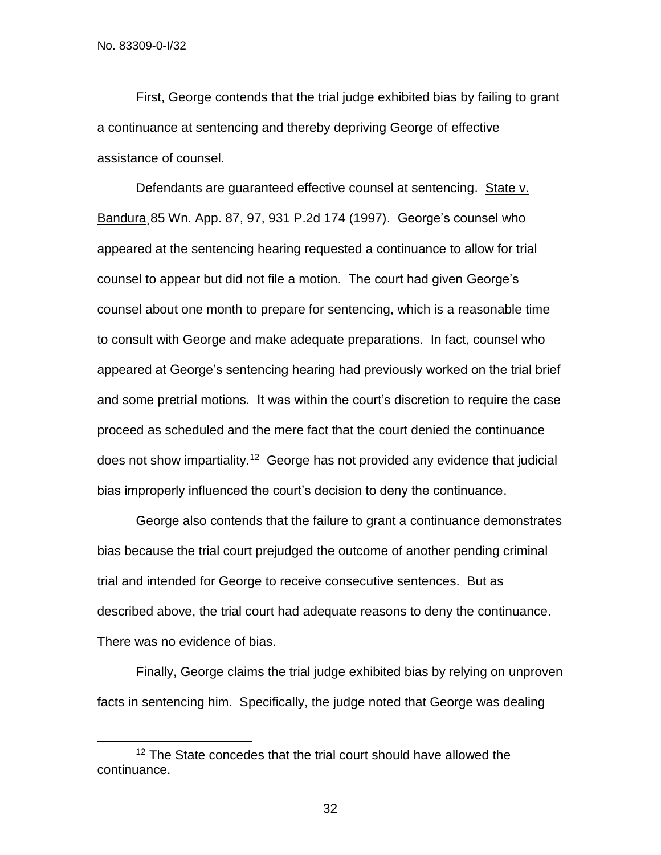$\overline{\phantom{a}}$ 

First, George contends that the trial judge exhibited bias by failing to grant a continuance at sentencing and thereby depriving George of effective assistance of counsel.

Defendants are guaranteed effective counsel at sentencing. State v. Bandura¸85 Wn. App. 87, 97, 931 P.2d 174 (1997). George's counsel who appeared at the sentencing hearing requested a continuance to allow for trial counsel to appear but did not file a motion. The court had given George's counsel about one month to prepare for sentencing, which is a reasonable time to consult with George and make adequate preparations. In fact, counsel who appeared at George's sentencing hearing had previously worked on the trial brief and some pretrial motions. It was within the court's discretion to require the case proceed as scheduled and the mere fact that the court denied the continuance does not show impartiality.<sup>12</sup> George has not provided any evidence that judicial bias improperly influenced the court's decision to deny the continuance.

George also contends that the failure to grant a continuance demonstrates bias because the trial court prejudged the outcome of another pending criminal trial and intended for George to receive consecutive sentences. But as described above, the trial court had adequate reasons to deny the continuance. There was no evidence of bias.

Finally, George claims the trial judge exhibited bias by relying on unproven facts in sentencing him. Specifically, the judge noted that George was dealing

<sup>&</sup>lt;sup>12</sup> The State concedes that the trial court should have allowed the continuance.